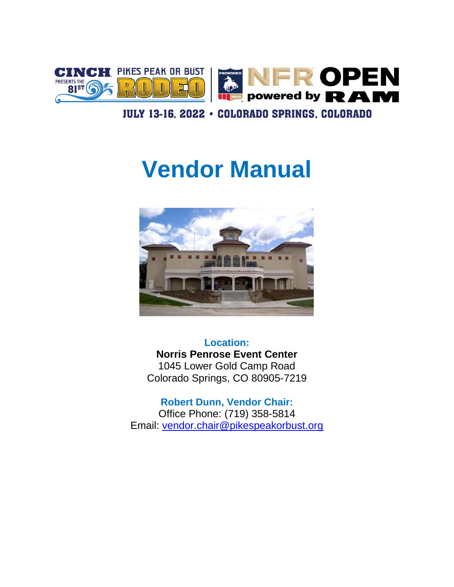

#### JULY 13-16, 2022 · COLORADO SPRINGS, COLORADO

# **Vendor Manual**



**Location: Norris Penrose Event Center** 1045 Lower Gold Camp Road Colorado Springs, CO 80905-7219

**Robert Dunn, Vendor Chair:** Office Phone: (719) 358-5814 Email: [vendor.chair@pikespeakorbust.org](mailto:vendor.chair@pikespeakorbust.org)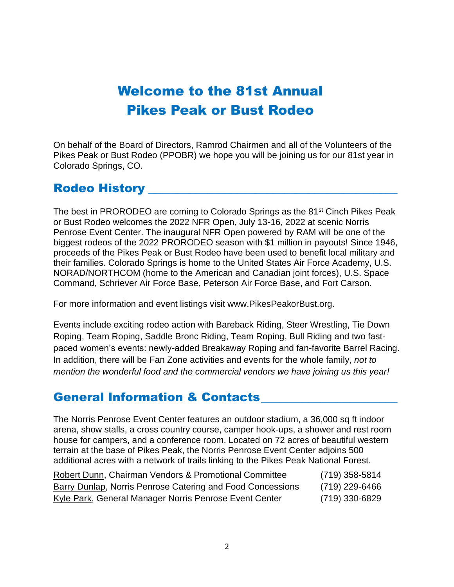## Welcome to the 81st Annual Pikes Peak or Bust Rodeo

On behalf of the Board of Directors, Ramrod Chairmen and all of the Volunteers of the Pikes Peak or Bust Rodeo (PPOBR) we hope you will be joining us for our 81st year in Colorado Springs, CO.

#### Rodeo History

The best in PRORODEO are coming to Colorado Springs as the 81<sup>st</sup> Cinch Pikes Peak or Bust Rodeo welcomes the 2022 NFR Open, July 13-16, 2022 at scenic Norris Penrose Event Center. The inaugural NFR Open powered by RAM will be one of the biggest rodeos of the 2022 PRORODEO season with \$1 million in payouts! Since 1946, proceeds of the Pikes Peak or Bust Rodeo have been used to benefit local military and their families. Colorado Springs is home to the United States Air Force Academy, U.S. NORAD/NORTHCOM (home to the American and Canadian joint forces), U.S. Space Command, Schriever Air Force Base, Peterson Air Force Base, and Fort Carson.

For more information and event listings visit www.PikesPeakorBust.org.

Events include exciting rodeo action with Bareback Riding, Steer Wrestling, Tie Down Roping, Team Roping, Saddle Bronc Riding, Team Roping, Bull Riding and two fastpaced women's events: newly-added Breakaway Roping and fan-favorite Barrel Racing. In addition, there will be Fan Zone activities and events for the whole family, *not to mention the wonderful food and the commercial vendors we have joining us this year!*

#### General Information & Contacts\_\_\_\_\_\_\_\_\_\_\_\_\_\_\_\_\_\_\_\_\_\_\_

The Norris Penrose Event Center features an outdoor stadium, a 36,000 sq ft indoor arena, show stalls, a cross country course, camper hook-ups, a shower and rest room house for campers, and a conference room. Located on 72 acres of beautiful western terrain at the base of Pikes Peak, the Norris Penrose Event Center adjoins 500 additional acres with a network of trails linking to the Pikes Peak National Forest.

| Robert Dunn, Chairman Vendors & Promotional Committee      | (719) 358-5814 |
|------------------------------------------------------------|----------------|
| Barry Dunlap, Norris Penrose Catering and Food Concessions | (719) 229-6466 |
| Kyle Park, General Manager Norris Penrose Event Center     | (719) 330-6829 |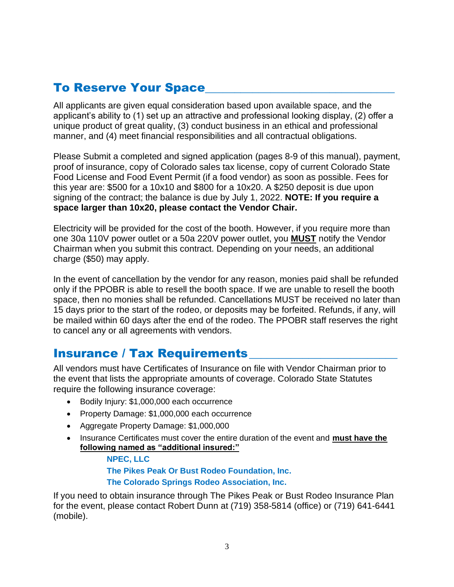## **To Reserve Your Space**

All applicants are given equal consideration based upon available space, and the applicant's ability to (1) set up an attractive and professional looking display, (2) offer a unique product of great quality, (3) conduct business in an ethical and professional manner, and (4) meet financial responsibilities and all contractual obligations.

Please Submit a completed and signed application (pages 8-9 of this manual), payment, proof of insurance, copy of Colorado sales tax license, copy of current Colorado State Food License and Food Event Permit (if a food vendor) as soon as possible. Fees for this year are: \$500 for a 10x10 and \$800 for a 10x20. A \$250 deposit is due upon signing of the contract; the balance is due by July 1, 2022. **NOTE: If you require a space larger than 10x20, please contact the Vendor Chair.**

Electricity will be provided for the cost of the booth. However, if you require more than one 30a 110V power outlet or a 50a 220V power outlet, you **MUST** notify the Vendor Chairman when you submit this contract. Depending on your needs, an additional charge (\$50) may apply.

In the event of cancellation by the vendor for any reason, monies paid shall be refunded only if the PPOBR is able to resell the booth space. If we are unable to resell the booth space, then no monies shall be refunded. Cancellations MUST be received no later than 15 days prior to the start of the rodeo, or deposits may be forfeited. Refunds, if any, will be mailed within 60 days after the end of the rodeo. The PPOBR staff reserves the right to cancel any or all agreements with vendors.

#### Insurance / Tax Requirements

All vendors must have Certificates of Insurance on file with Vendor Chairman prior to the event that lists the appropriate amounts of coverage. Colorado State Statutes require the following insurance coverage:

- Bodily Injury: \$1,000,000 each occurrence
- Property Damage: \$1,000,000 each occurrence
- Aggregate Property Damage: \$1,000,000
- Insurance Certificates must cover the entire duration of the event and **must have the following named as "additional insured:"**

**NPEC, LLC**

**The Pikes Peak Or Bust Rodeo Foundation, Inc.**

#### **The Colorado Springs Rodeo Association, Inc.**

If you need to obtain insurance through The Pikes Peak or Bust Rodeo Insurance Plan for the event, please contact Robert Dunn at (719) 358-5814 (office) or (719) 641-6441 (mobile).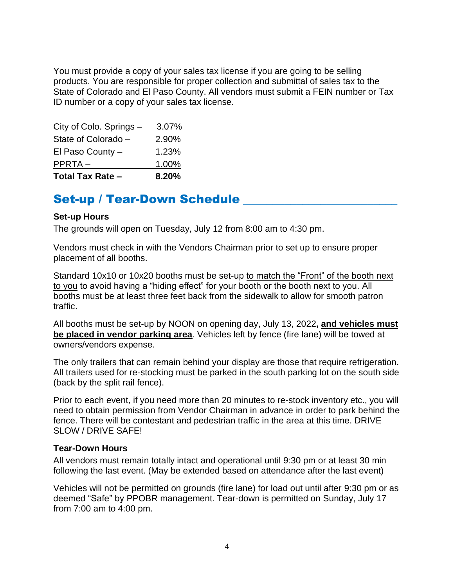You must provide a copy of your sales tax license if you are going to be selling products. You are responsible for proper collection and submittal of sales tax to the State of Colorado and El Paso County. All vendors must submit a FEIN number or Tax ID number or a copy of your sales tax license.

| <b>Total Tax Rate -</b> | 8.20% |
|-------------------------|-------|
| PPRTA-                  | 1.00% |
| El Paso County $-$      | 1.23% |
| State of Colorado -     | 2.90% |
| City of Colo. Springs - | 3.07% |

#### Set-up / Tear-Down Schedule

#### **Set-up Hours**

The grounds will open on Tuesday, July 12 from 8:00 am to 4:30 pm.

Vendors must check in with the Vendors Chairman prior to set up to ensure proper placement of all booths.

Standard 10x10 or 10x20 booths must be set-up to match the "Front" of the booth next to you to avoid having a "hiding effect" for your booth or the booth next to you. All booths must be at least three feet back from the sidewalk to allow for smooth patron traffic.

All booths must be set-up by NOON on opening day, July 13, 2022**, and vehicles must be placed in vendor parking area**. Vehicles left by fence (fire lane) will be towed at owners/vendors expense.

The only trailers that can remain behind your display are those that require refrigeration. All trailers used for re-stocking must be parked in the south parking lot on the south side (back by the split rail fence).

Prior to each event, if you need more than 20 minutes to re-stock inventory etc., you will need to obtain permission from Vendor Chairman in advance in order to park behind the fence. There will be contestant and pedestrian traffic in the area at this time. DRIVE SLOW / DRIVE SAFE!

#### **Tear-Down Hours**

All vendors must remain totally intact and operational until 9:30 pm or at least 30 min following the last event. (May be extended based on attendance after the last event)

Vehicles will not be permitted on grounds (fire lane) for load out until after 9:30 pm or as deemed "Safe" by PPOBR management. Tear-down is permitted on Sunday, July 17 from 7:00 am to 4:00 pm.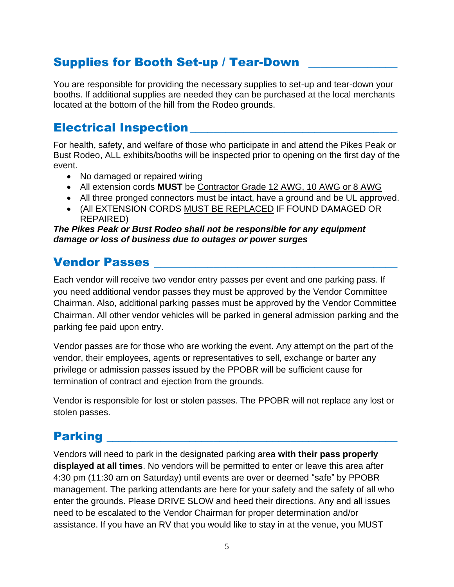## Supplies for Booth Set-up / Tear-Down

You are responsible for providing the necessary supplies to set-up and tear-down your booths. If additional supplies are needed they can be purchased at the local merchants located at the bottom of the hill from the Rodeo grounds.

#### Electrical Inspection\_\_\_\_\_\_\_\_\_\_\_\_\_\_\_\_\_\_\_\_\_\_\_\_\_\_\_\_\_\_\_\_\_\_\_

For health, safety, and welfare of those who participate in and attend the Pikes Peak or Bust Rodeo, ALL exhibits/booths will be inspected prior to opening on the first day of the event.

- No damaged or repaired wiring
- All extension cords **MUST** be Contractor Grade 12 AWG, 10 AWG or 8 AWG
- All three pronged connectors must be intact, have a ground and be UL approved.
- (All EXTENSION CORDS MUST BE REPLACED IF FOUND DAMAGED OR REPAIRED)

#### *The Pikes Peak or Bust Rodeo shall not be responsible for any equipment damage or loss of business due to outages or power surges*

#### **Vendor Passes**

Each vendor will receive two vendor entry passes per event and one parking pass. If you need additional vendor passes they must be approved by the Vendor Committee Chairman. Also, additional parking passes must be approved by the Vendor Committee Chairman. All other vendor vehicles will be parked in general admission parking and the parking fee paid upon entry.

Vendor passes are for those who are working the event. Any attempt on the part of the vendor, their employees, agents or representatives to sell, exchange or barter any privilege or admission passes issued by the PPOBR will be sufficient cause for termination of contract and ejection from the grounds.

Vendor is responsible for lost or stolen passes. The PPOBR will not replace any lost or stolen passes.

#### **Parking**

Vendors will need to park in the designated parking area **with their pass properly displayed at all times**. No vendors will be permitted to enter or leave this area after 4:30 pm (11:30 am on Saturday) until events are over or deemed "safe" by PPOBR management. The parking attendants are here for your safety and the safety of all who enter the grounds. Please DRIVE SLOW and heed their directions. Any and all issues need to be escalated to the Vendor Chairman for proper determination and/or assistance. If you have an RV that you would like to stay in at the venue, you MUST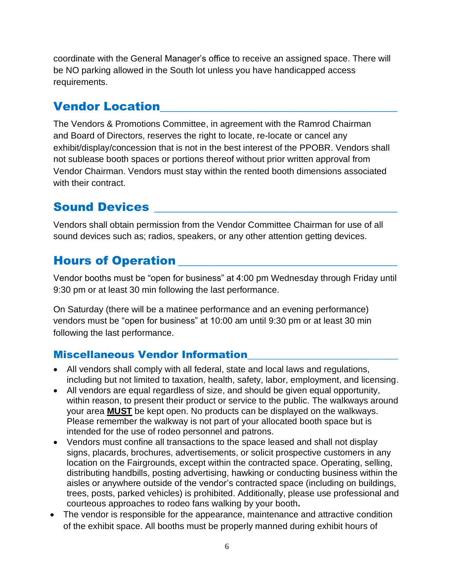coordinate with the General Manager's office to receive an assigned space. There will be NO parking allowed in the South lot unless you have handicapped access requirements.

#### **Vendor Location**

The Vendors & Promotions Committee, in agreement with the Ramrod Chairman and Board of Directors, reserves the right to locate, re-locate or cancel any exhibit/display/concession that is not in the best interest of the PPOBR. Vendors shall not sublease booth spaces or portions thereof without prior written approval from Vendor Chairman. Vendors must stay within the rented booth dimensions associated with their contract.

## Sound Devices

Vendors shall obtain permission from the Vendor Committee Chairman for use of all sound devices such as; radios, speakers, or any other attention getting devices.

## Hours of Operation

Vendor booths must be "open for business" at 4:00 pm Wednesday through Friday until 9:30 pm or at least 30 min following the last performance.

On Saturday (there will be a matinee performance and an evening performance) vendors must be "open for business" at 10:00 am until 9:30 pm or at least 30 min following the last performance.

#### **Miscellaneous Vendor Information**

- All vendors shall comply with all federal, state and local laws and regulations, including but not limited to taxation, health, safety, labor, employment, and licensing.
- All vendors are equal regardless of size, and should be given equal opportunity, within reason, to present their product or service to the public. The walkways around your area **MUST** be kept open. No products can be displayed on the walkways. Please remember the walkway is not part of your allocated booth space but is intended for the use of rodeo personnel and patrons.
- Vendors must confine all transactions to the space leased and shall not display signs, placards, brochures, advertisements, or solicit prospective customers in any location on the Fairgrounds, except within the contracted space. Operating, selling, distributing handbills, posting advertising, hawking or conducting business within the aisles or anywhere outside of the vendor's contracted space (including on buildings, trees, posts, parked vehicles) is prohibited. Additionally, please use professional and courteous approaches to rodeo fans walking by your booth**.**
- The vendor is responsible for the appearance, maintenance and attractive condition of the exhibit space. All booths must be properly manned during exhibit hours of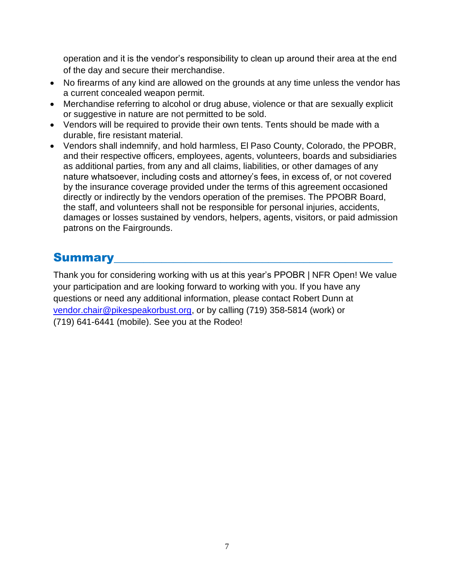operation and it is the vendor's responsibility to clean up around their area at the end of the day and secure their merchandise.

- No firearms of any kind are allowed on the grounds at any time unless the vendor has a current concealed weapon permit.
- Merchandise referring to alcohol or drug abuse, violence or that are sexually explicit or suggestive in nature are not permitted to be sold.
- Vendors will be required to provide their own tents. Tents should be made with a durable, fire resistant material.
- Vendors shall indemnify, and hold harmless, El Paso County, Colorado, the PPOBR, and their respective officers, employees, agents, volunteers, boards and subsidiaries as additional parties, from any and all claims, liabilities, or other damages of any nature whatsoever, including costs and attorney's fees, in excess of, or not covered by the insurance coverage provided under the terms of this agreement occasioned directly or indirectly by the vendors operation of the premises. The PPOBR Board, the staff, and volunteers shall not be responsible for personal injuries, accidents, damages or losses sustained by vendors, helpers, agents, visitors, or paid admission patrons on the Fairgrounds.

## Summary

Thank you for considering working with us at this year's PPOBR | NFR Open! We value your participation and are looking forward to working with you. If you have any questions or need any additional information, please contact Robert Dunn at [vendor.chair@pikespeakorbust.org,](mailto:vendor.chair@pikespeakorbust.org) or by calling (719) 358-5814 (work) or (719) 641-6441 (mobile). See you at the Rodeo!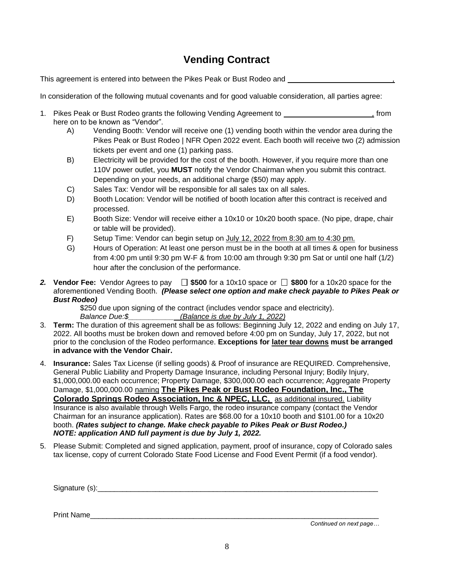#### **Vending Contract**

This agreement is entered into between the Pikes Peak or Bust Rodeo and *,*

In consideration of the following mutual covenants and for good valuable consideration, all parties agree:

- 1. Pikes Peak or Bust Rodeo grants the following Vending Agreement to *,* from here on to be known as "Vendor".
	- A) Vending Booth: Vendor will receive one (1) vending booth within the vendor area during the Pikes Peak or Bust Rodeo | NFR Open 2022 event. Each booth will receive two (2) admission tickets per event and one (1) parking pass.
	- B) Electricity will be provided for the cost of the booth. However, if you require more than one 110V power outlet, you **MUST** notify the Vendor Chairman when you submit this contract. Depending on your needs, an additional charge (\$50) may apply.
	- C) Sales Tax: Vendor will be responsible for all sales tax on all sales.
	- D) Booth Location: Vendor will be notified of booth location after this contract is received and processed.
	- E) Booth Size: Vendor will receive either a 10x10 or 10x20 booth space. (No pipe, drape, chair or table will be provided).
	- F) Setup Time: Vendor can begin setup on July 12, 2022 from 8:30 am to 4:30 pm.
	- G) Hours of Operation: At least one person must be in the booth at all times & open for business from 4:00 pm until 9:30 pm W-F & from 10:00 am through 9:30 pm Sat or until one half (1/2) hour after the conclusion of the performance.
- **2. Vendor Fee:** Vendor Agrees to pay  $\Box$  \$500 for a 10x10 space or  $\Box$  \$800 for a 10x20 space for the aforementioned Vending Booth. *(Please select one option and make check payable to Pikes Peak or Bust Rodeo)*

\$250 due upon signing of the contract (includes vendor space and electricity). *Balance Due:\$\_\_\_\_\_\_\_\_\_\_\_ (Balance is due by July 1, 2022)* 

- 3. **Term:** The duration of this agreement shall be as follows: Beginning July 12, 2022 and ending on July 17, 2022. All booths must be broken down and removed before 4:00 pm on Sunday, July 17, 2022, but not prior to the conclusion of the Rodeo performance. **Exceptions for later tear downs must be arranged in advance with the Vendor Chair.**
- 4. **Insurance:** Sales Tax License (if selling goods) & Proof of insurance are REQUIRED. Comprehensive, General Public Liability and Property Damage Insurance, including Personal Injury; Bodily Injury, \$1,000,000.00 each occurrence; Property Damage, \$300,000.00 each occurrence; Aggregate Property Damage, \$1,000,000.00 naming **The Pikes Peak or Bust Rodeo Foundation, Inc., The Colorado Springs Rodeo Association, Inc & NPEC, LLC,** as additional insured. Liability Insurance is also available through Wells Fargo, the rodeo insurance company (contact the Vendor Chairman for an insurance application). Rates are \$68.00 for a 10x10 booth and \$101.00 for a 10x20 booth. *(Rates subject to change. Make check payable to Pikes Peak or Bust Rodeo.) NOTE: application AND full payment is due by July 1, 2022.*
- 5. Please Submit: Completed and signed application, payment, proof of insurance, copy of Colorado sales tax license, copy of current Colorado State Food License and Food Event Permit (if a food vendor).

Signature (s):\_\_\_\_\_\_\_\_\_\_\_\_\_\_\_\_\_\_\_\_\_\_\_\_\_\_\_\_\_\_\_\_\_\_\_\_\_\_\_\_\_\_\_\_\_\_\_\_\_\_\_\_\_\_\_\_\_\_\_\_\_\_\_\_\_\_\_\_

Print Name\_\_\_\_\_\_\_\_\_\_\_\_\_\_\_\_\_\_\_\_\_\_\_\_\_\_\_\_\_\_\_\_\_\_\_\_\_\_\_\_\_\_\_\_\_\_\_\_\_\_\_\_\_\_\_\_\_\_\_\_\_\_\_\_\_\_\_\_\_\_

 *Continued on next page…*